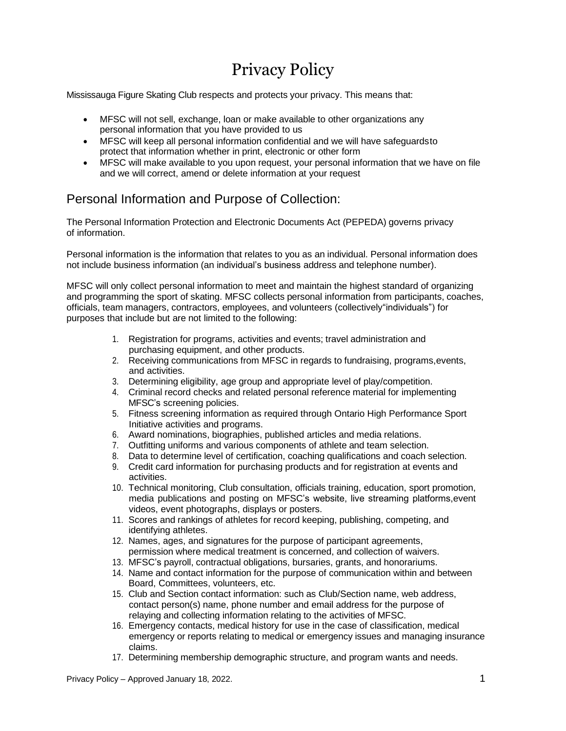# Privacy Policy

Mississauga Figure Skating Club respects and protects your privacy. This means that:

- MFSC will not sell, exchange, loan or make available to other organizations any personal information that you have provided to us
- MFSC will keep all personal information confidential and we will have safeguards to protect that information whether in print, electronic or other form
- MFSC will make available to you upon request, your personal information that we have on file and we will correct, amend or delete information at your request

# Personal Information and Purpose of Collection:

The Personal Information Protection and Electronic Documents Act (PEPEDA) governs privacy of information.

Personal information is the information that relates to you as an individual. Personal information does not include business information (an individual's business address and telephone number).

MFSC will only collect personal information to meet and maintain the highest standard of organizing and programming the sport of skating. MFSC collects personal information from participants, coaches, officials, team managers, contractors, employees, and volunteers (collectively"individuals") for purposes that include but are not limited to the following:

- 1. Registration for programs, activities and events; travel administration and purchasing equipment, and other products.
- 2. Receiving communications from MFSC in regards to fundraising, programs,events, and activities.
- 3. Determining eligibility, age group and appropriate level of play/competition.
- 4. Criminal record checks and related personal reference material for implementing MFSC's screening policies.
- 5. Fitness screening information as required through Ontario High Performance Sport Initiative activities and programs.
- 6. Award nominations, biographies, published articles and media relations.
- 7. Outfitting uniforms and various components of athlete and team selection.
- 8. Data to determine level of certification, coaching qualifications and coach selection.
- 9. Credit card information for purchasing products and for registration at events and activities.
- 10. Technical monitoring, Club consultation, officials training, education, sport promotion, media publications and posting on MFSC's website, live streaming platforms,event videos, event photographs, displays or posters.
- 11. Scores and rankings of athletes for record keeping, publishing, competing, and identifying athletes.
- 12. Names, ages, and signatures for the purpose of participant agreements, permission where medical treatment is concerned, and collection of waivers.
- 13. MFSC's payroll, contractual obligations, bursaries, grants, and honorariums.
- 14. Name and contact information for the purpose of communication within and between Board, Committees, volunteers, etc.
- 15. Club and Section contact information: such as Club/Section name, web address, contact person(s) name, phone number and email address for the purpose of relaying and collecting information relating to the activities of MFSC.
- 16. Emergency contacts, medical history for use in the case of classification, medical emergency or reports relating to medical or emergency issues and managing insurance claims.
- 17. Determining membership demographic structure, and program wants and needs.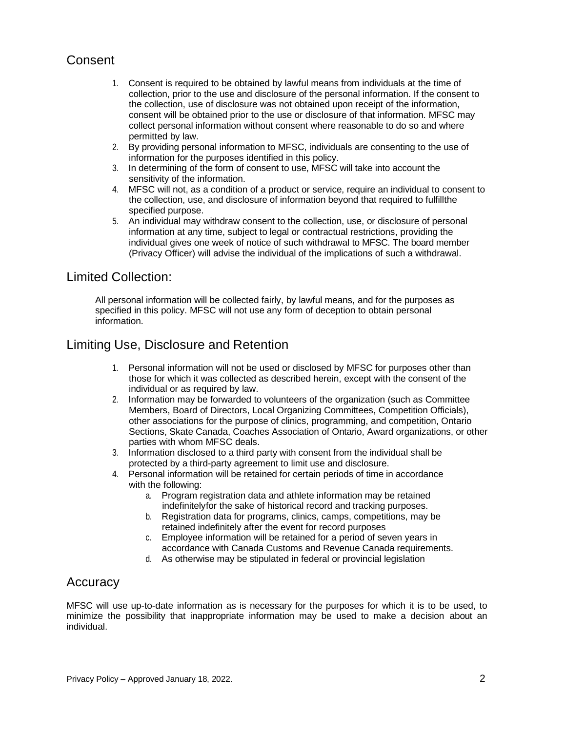# Consent

- 1. Consent is required to be obtained by lawful means from individuals at the time of collection, prior to the use and disclosure of the personal information. If the consent to the collection, use of disclosure was not obtained upon receipt of the information, consent will be obtained prior to the use or disclosure of that information. MFSC may collect personal information without consent where reasonable to do so and where permitted by law.
- 2. By providing personal information to MFSC, individuals are consenting to the use of information for the purposes identified in this policy.
- 3. In determining of the form of consent to use, MFSC will take into account the sensitivity of the information.
- 4. MFSC will not, as a condition of a product or service, require an individual to consent to the collection, use, and disclosure of information beyond that required to fulfillthe specified purpose.
- 5. An individual may withdraw consent to the collection, use, or disclosure of personal information at any time, subject to legal or contractual restrictions, providing the individual gives one week of notice of such withdrawal to MFSC. The board member (Privacy Officer) will advise the individual of the implications of such a withdrawal.

## Limited Collection:

All personal information will be collected fairly, by lawful means, and for the purposes as specified in this policy. MFSC will not use any form of deception to obtain personal information.

# Limiting Use, Disclosure and Retention

- 1. Personal information will not be used or disclosed by MFSC for purposes other than those for which it was collected as described herein, except with the consent of the individual or as required by law.
- 2. Information may be forwarded to volunteers of the organization (such as Committee Members, Board of Directors, Local Organizing Committees, Competition Officials), other associations for the purpose of clinics, programming, and competition, Ontario Sections, Skate Canada, Coaches Association of Ontario, Award organizations, or other parties with whom MFSC deals.
- 3. Information disclosed to a third party with consent from the individual shall be protected by a third-party agreement to limit use and disclosure.
- 4. Personal information will be retained for certain periods of time in accordance with the following:
	- a. Program registration data and athlete information may be retained indefinitelyfor the sake of historical record and tracking purposes.
	- b. Registration data for programs, clinics, camps, competitions, may be retained indefinitely after the event for record purposes
	- c. Employee information will be retained for a period of seven years in accordance with Canada Customs and Revenue Canada requirements.
	- d. As otherwise may be stipulated in federal or provincial legislation

## Accuracy

MFSC will use up-to-date information as is necessary for the purposes for which it is to be used, to minimize the possibility that inappropriate information may be used to make a decision about an individual.